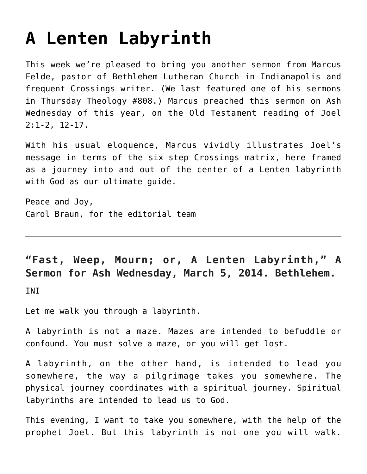## **[A Lenten Labyrinth](https://crossings.org/a-lenten-labyrinth/)**

This week we're pleased to bring you another sermon from Marcus Felde, pastor of Bethlehem Lutheran Church in Indianapolis and frequent Crossings writer. (We last featured one of his sermons in Thursday Theology #808.) Marcus preached this sermon on Ash Wednesday of this year, on the Old Testament reading of Joel 2:1-2, 12-17.

With his usual eloquence, Marcus vividly illustrates Joel's message in terms of the six-step Crossings matrix, here framed as a journey into and out of the center of a Lenten labyrinth with God as our ultimate guide.

Peace and Joy, Carol Braun, for the editorial team

## **"Fast, Weep, Mourn; or, A Lenten Labyrinth," A Sermon for Ash Wednesday, March 5, 2014. Bethlehem.**

INI

Let me walk you through a labyrinth.

A labyrinth is not a maze. Mazes are intended to befuddle or confound. You must solve a maze, or you will get lost.

A labyrinth, on the other hand, is intended to lead you somewhere, the way a pilgrimage takes you somewhere. The physical journey coordinates with a spiritual journey. Spiritual labyrinths are intended to lead us to God.

This evening, I want to take you somewhere, with the help of the prophet Joel. But this labyrinth is not one you will walk.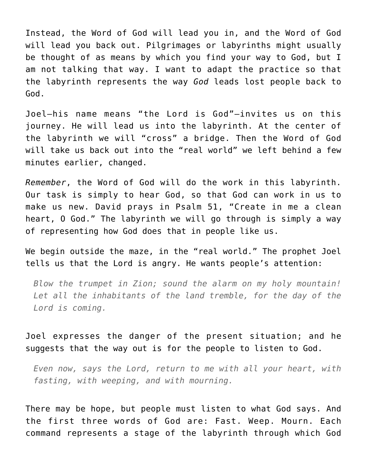Instead, the Word of God will lead you in, and the Word of God will lead you back out. Pilgrimages or labyrinths might usually be thought of as means by which you find your way to God, but I am not talking that way. I want to adapt the practice so that the labyrinth represents the way *God* leads lost people back to God.

Joel—his name means "the Lord is God"—invites us on this journey. He will lead us into the labyrinth. At the center of the labyrinth we will "cross" a bridge. Then the Word of God will take us back out into the "real world" we left behind a few minutes earlier, changed.

*Remember*, the Word of God will do the work in this labyrinth. Our task is simply to hear God, so that God can work in us to make us new. David prays in Psalm 51, "Create in me a clean heart, O God." The labyrinth we will go through is simply a way of representing how God does that in people like us.

We begin outside the maze, in the "real world." The prophet Joel tells us that the Lord is angry. He wants people's attention:

*Blow the trumpet in Zion; sound the alarm on my holy mountain! Let all the inhabitants of the land tremble, for the day of the Lord is coming.*

Joel expresses the danger of the present situation; and he suggests that the way out is for the people to listen to God.

*Even now, says the Lord, return to me with all your heart, with fasting, with weeping, and with mourning.*

There may be hope, but people must listen to what God says. And the first three words of God are: Fast. Weep. Mourn. Each command represents a stage of the labyrinth through which God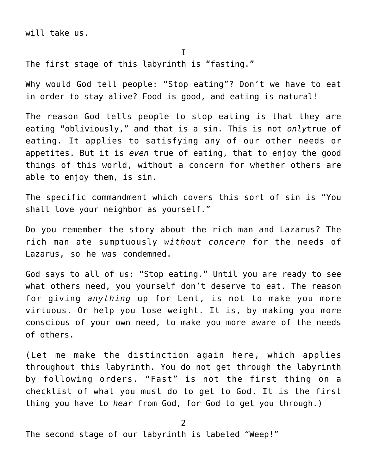will take us.

I

The first stage of this labyrinth is "fasting."

Why would God tell people: "Stop eating"? Don't we have to eat in order to stay alive? Food is good, and eating is natural!

The reason God tells people to stop eating is that they are eating "obliviously," and that is a sin. This is not *only*true of eating. It applies to satisfying any of our other needs or appetites. But it is *even* true of eating, that to enjoy the good things of this world, without a concern for whether others are able to enjoy them, is sin.

The specific commandment which covers this sort of sin is "You shall love your neighbor as yourself."

Do you remember the story about the rich man and Lazarus? The rich man ate sumptuously *without concern* for the needs of Lazarus, so he was condemned.

God says to all of us: "Stop eating." Until you are ready to see what others need, you yourself don't deserve to eat. The reason for giving *anything* up for Lent, is not to make you more virtuous. Or help you lose weight. It is, by making you more conscious of your own need, to make you more aware of the needs of others.

(Let me make the distinction again here, which applies throughout this labyrinth. You do not get through the labyrinth by following orders. "Fast" is not the first thing on a checklist of what you must do to get to God. It is the first thing you have to *hear* from God, for God to get you through.)

2

The second stage of our labyrinth is labeled "Weep!"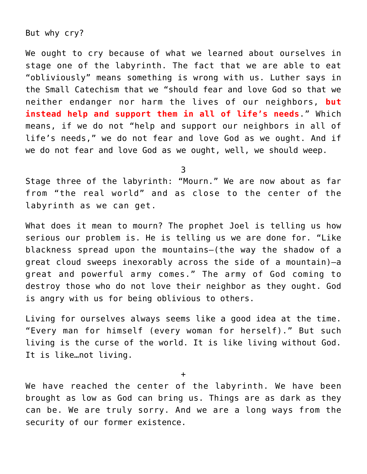## But why cry?

We ought to cry because of what we learned about ourselves in stage one of the labyrinth. The fact that we are able to eat "obliviously" means something is wrong with us. Luther says in the Small Catechism that we "should fear and love God so that we neither endanger nor harm the lives of our neighbors, **but instead help and support them in all of life's needs**." Which means, if we do not "help and support our neighbors in all of life's needs," we do not fear and love God as we ought. And if we do not fear and love God as we ought, well, we should weep.

3

Stage three of the labyrinth: "Mourn." We are now about as far from "the real world" and as close to the center of the labyrinth as we can get.

What does it mean to mourn? The prophet Joel is telling us how serious our problem is. He is telling us we are done for. "Like blackness spread upon the mountains—(the way the shadow of a great cloud sweeps inexorably across the side of a mountain)—a great and powerful army comes." The army of God coming to destroy those who do not love their neighbor as they ought. God is angry with us for being oblivious to others.

Living for ourselves always seems like a good idea at the time. "Every man for himself (every woman for herself)." But such living is the curse of the world. It is like living without God. It is like…not living.

+

We have reached the center of the labyrinth. We have been brought as low as God can bring us. Things are as dark as they can be. We are truly sorry. And we are a long ways from the security of our former existence.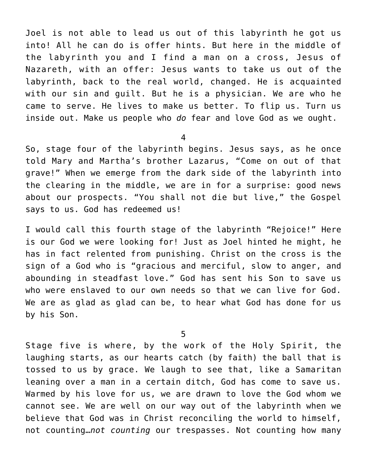Joel is not able to lead us out of this labyrinth he got us into! All he can do is offer hints. But here in the middle of the labyrinth you and I find a man on a cross, Jesus of Nazareth, with an offer: Jesus wants to take us out of the labyrinth, back to the real world, changed. He is acquainted with our sin and guilt. But he is a physician. We are who he came to serve. He lives to make us better. To flip us. Turn us inside out. Make us people who *do* fear and love God as we ought.

4

So, stage four of the labyrinth begins. Jesus says, as he once told Mary and Martha's brother Lazarus, "Come on out of that grave!" When we emerge from the dark side of the labyrinth into the clearing in the middle, we are in for a surprise: good news about our prospects. "You shall not die but live," the Gospel says to us. God has redeemed us!

I would call this fourth stage of the labyrinth "Rejoice!" Here is our God we were looking for! Just as Joel hinted he might, he has in fact relented from punishing. Christ on the cross is the sign of a God who is "gracious and merciful, slow to anger, and abounding in steadfast love." God has sent his Son to save us who were enslaved to our own needs so that we can live for God. We are as glad as glad can be, to hear what God has done for us by his Son.

5

Stage five is where, by the work of the Holy Spirit, the laughing starts, as our hearts catch (by faith) the ball that is tossed to us by grace. We laugh to see that, like a Samaritan leaning over a man in a certain ditch, God has come to save us. Warmed by his love for us, we are drawn to love the God whom we cannot see. We are well on our way out of the labyrinth when we believe that God was in Christ reconciling the world to himself, not counting…*not counting* our trespasses. Not counting how many